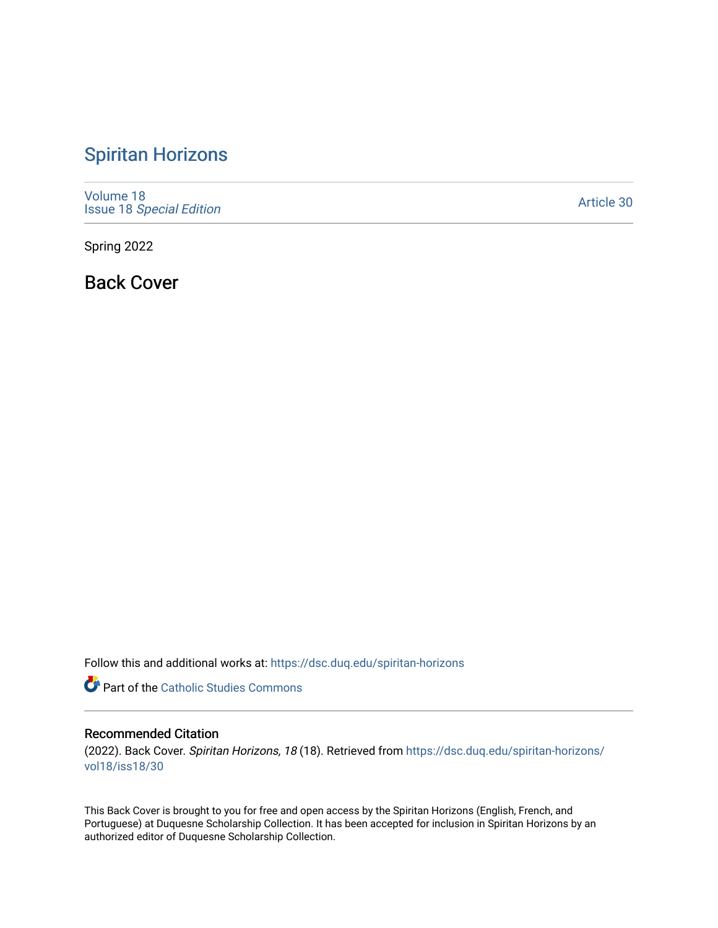## [Spiritan Horizons](https://dsc.duq.edu/spiritan-horizons)

[Volume 18](https://dsc.duq.edu/spiritan-horizons/vol18) Issue 18 [Special Edition](https://dsc.duq.edu/spiritan-horizons/vol18/iss18) 

[Article 30](https://dsc.duq.edu/spiritan-horizons/vol18/iss18/30) 

Spring 2022

Back Cover

Follow this and additional works at: [https://dsc.duq.edu/spiritan-horizons](https://dsc.duq.edu/spiritan-horizons?utm_source=dsc.duq.edu%2Fspiritan-horizons%2Fvol18%2Fiss18%2F30&utm_medium=PDF&utm_campaign=PDFCoverPages)

**Part of the [Catholic Studies Commons](http://network.bepress.com/hgg/discipline/1294?utm_source=dsc.duq.edu%2Fspiritan-horizons%2Fvol18%2Fiss18%2F30&utm_medium=PDF&utm_campaign=PDFCoverPages)** 

## Recommended Citation

(2022). Back Cover. Spiritan Horizons, 18 (18). Retrieved from [https://dsc.duq.edu/spiritan-horizons/](https://dsc.duq.edu/spiritan-horizons/vol18/iss18/30?utm_source=dsc.duq.edu%2Fspiritan-horizons%2Fvol18%2Fiss18%2F30&utm_medium=PDF&utm_campaign=PDFCoverPages) [vol18/iss18/30](https://dsc.duq.edu/spiritan-horizons/vol18/iss18/30?utm_source=dsc.duq.edu%2Fspiritan-horizons%2Fvol18%2Fiss18%2F30&utm_medium=PDF&utm_campaign=PDFCoverPages) 

This Back Cover is brought to you for free and open access by the Spiritan Horizons (English, French, and Portuguese) at Duquesne Scholarship Collection. It has been accepted for inclusion in Spiritan Horizons by an authorized editor of Duquesne Scholarship Collection.